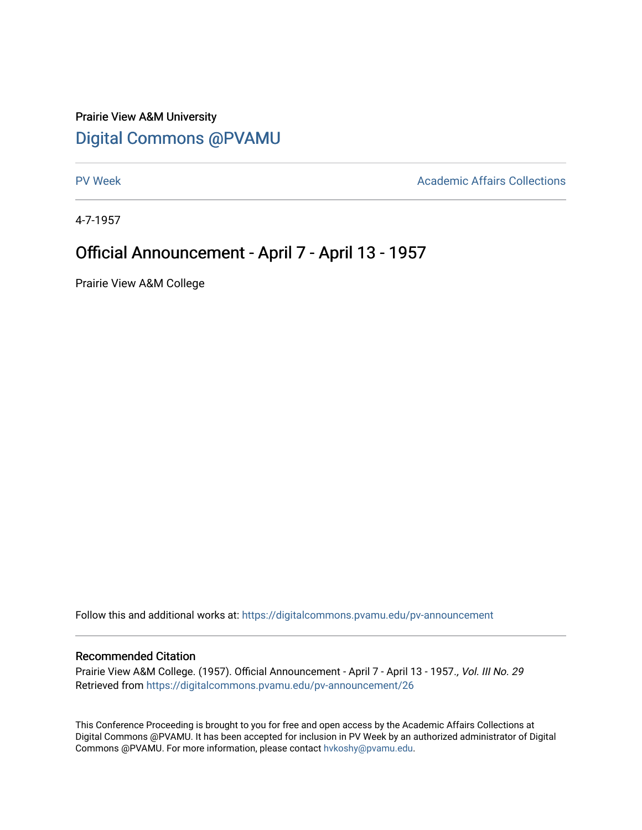## Prairie View A&M University [Digital Commons @PVAMU](https://digitalcommons.pvamu.edu/)

[PV Week](https://digitalcommons.pvamu.edu/pv-announcement) **Academic Affairs Collections** 

4-7-1957

## Official Announcement - April 7 - April 13 - 1957

Prairie View A&M College

Follow this and additional works at: [https://digitalcommons.pvamu.edu/pv-announcement](https://digitalcommons.pvamu.edu/pv-announcement?utm_source=digitalcommons.pvamu.edu%2Fpv-announcement%2F26&utm_medium=PDF&utm_campaign=PDFCoverPages) 

## Recommended Citation

Prairie View A&M College. (1957). Official Announcement - April 7 - April 13 - 1957., Vol. III No. 29 Retrieved from [https://digitalcommons.pvamu.edu/pv-announcement/26](https://digitalcommons.pvamu.edu/pv-announcement/26?utm_source=digitalcommons.pvamu.edu%2Fpv-announcement%2F26&utm_medium=PDF&utm_campaign=PDFCoverPages) 

This Conference Proceeding is brought to you for free and open access by the Academic Affairs Collections at Digital Commons @PVAMU. It has been accepted for inclusion in PV Week by an authorized administrator of Digital Commons @PVAMU. For more information, please contact [hvkoshy@pvamu.edu.](mailto:hvkoshy@pvamu.edu)